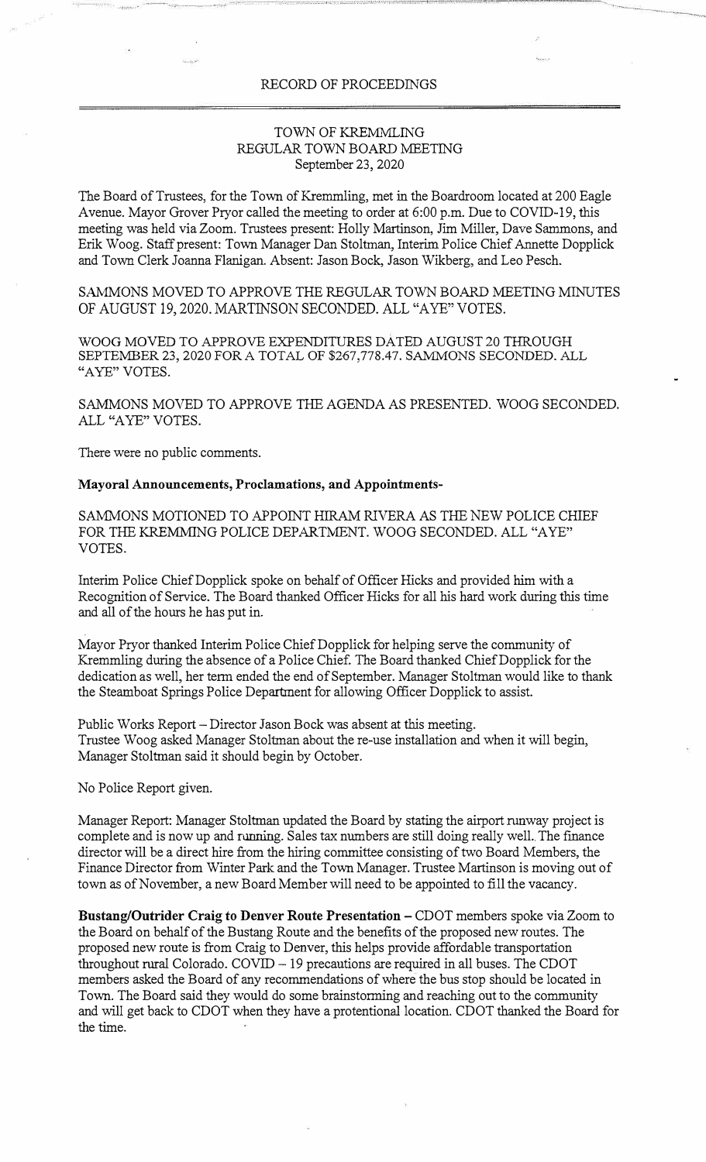## RECORD OF PROCEEDINGS

## TOWN OF KREMMLING REGULAR TOWN BOARD MEETING September 23, 2020

The Board of Trustees, for the Town of Kremmling, met in the Boardroom located at 200 Eagle Avenue. Mayor Grover Pryor called the meeting to order at 6:00 p.m. Due to COVID-19, this meeting was held via Zoom. Trustees present: Holly Martinson, Jim Miller, Dave Sammons, and Erik Woog. Staff present: Town Manager Dan Stoltman, Interim Police Chief Annette Dopplick and Town Clerk Joanna Flanigan. Absent: Jason Bock, Jason Wikberg, and Leo Pesch.

SAMMONS MOVED TO APPROVE THE REGULAR TOWN BOARD MEETING MINUTES OF AUGUST 19, 2020. MARTINSON SECONDED. ALL "A YE" VOTES.

WOOG MOVED TO APPROVE EXPENDITURES DATED AUGUST 20 THROUGH SEPTEMBER 23, 2020 FOR A TOTAL OF \$267,778.47. SAMMONS SECONDED. ALL "AYE" VOTES.

SAMMONS MOVED TO APPROVE THE AGENDA AS PRESENTED. WOOG SECONDED. ALL "A YE" VOTES.

There were no public comments.

## **Mayoral Announcements, Proclamations, and Appointments-**

SAMMONS MOTIONED TO APPOINT HIRAM RIVERA AS THE NEW POLICE CHIEF FOR THE KREMMING POLICE DEPARTMENT. WOOG SECONDED. ALL "AYE" VOTES.

Interim Police ChiefDopplick spoke on behalf of Officer Hicks and provided him with a Recognition of Service. The Board thanked Officer Hicks for all his hard work during this time and all of the hours he has put in.

Mayor Pryor thanked Interim Police Chief Dopplick for helping serve the community of Kremmling during the absence of a Police Chief. The Board thanked Chief Dopplick for the dedication as well, her term ended the end of September. Manager Stoltman would like to thank the Steamboat Springs Police Department for allowing Officer Dopplick to assist.

Public Works Report – Director Jason Bock was absent at this meeting. Trustee Woog asked Manager Stoltman about the re-use installation and when it will begin, Manager Stoltman said it should begin by October.

No Police Report given.

Manager Report: Manager Stoltman updated the Board by stating the airport runway project is complete and is now up and running. Sales tax numbers are still doing really well.. The finance director will be a direct hire from the hiring committee consisting of two Board Members, the Finance Director from Winter Park and the Town Manager. Trustee Martinson is moving out of town as of November, a new Board Member will need to be appointed to fill the vacancy.

**Bustang/Outrider Craig** to **Denver Route Presentation** - CDOT members spoke via Zoom to the Board on behalf of the Bustang Route and the benefits of the proposed new routes. The proposed new route is from Craig to Denver, this helps provide affordable transportation  $throughout rural Colorado. COVID - 19 precautions are required in all buses. The CDOT$ members asked the Board of any recommendations of where the bus stop should be located in Town. The Board said they would do some brainstorming and reaching out to the community and will get back to CDOT when they have a protentional location. CDOT thanked the Board for the time.